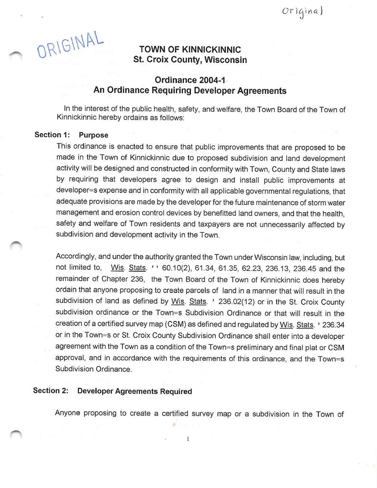ORIGINAL TOWN OF KINNICKINNIC

## St. Croix County, Wisconsin

### Ordinance 2004-1 An Ordinance Requiring Developer Agreements

In the interest of the public health, safety, and welfare, the Town Board of the Town of Kinnickinnic hereby ordains as follows:

#### Section 1: Purpose

This ordinance is enacted to ensure that public improvements that are proposed to be made in the Town of Kinnickinnic due to proposed subdivision and land development activity will be designed and constructed in conformity with Town, County and State laws by requiring that developers agree to design and install public improvements at developer=s expense and in conformity with all applicable governmental regulations, that adequate provisions are made by the developer for the future maintenance of storm water management and erosion control devices by benefitted land owners, and that the health, safety and welfare of Town residents and taxpayers are not unnecessarily affected by subdivision and development activity in the Town.

Accordingly, and under the authority granted the Town under Wisconsin law, including, but not limited to, *Wis. Stats.* ' ' 60.10(2), 61.34, 61.35, 62.23, 236.13, 236.45 and the remainder of Chapter 236, the Town Board of the Town of Kinnickinnic does hereby ordain that anyone proposing to create parcels of land in a manner that will result in the subdivision of land as defined by Wis. Stats. ' 236.02(12) or in the St. Croix County subdivision ordinance or the Town=s Subdivision Ordinance or that will result in the creation of a certified survey map (CSM) as defined and regulated by Wis. Stats. ' 236.34 or in the Town=s or St. Croix County Subdivision Ordinance shall enter into a developer agreement with the Town as a condition of the Town=s preliminary and final plat or CSM approval, and in accordance with the requirements of this ordinance, and the Town=s Subdivision Ordinance.

#### Section 2: Developer Agreements Required

Anyone proposing to create a certified survey map or a subdivision in the Town of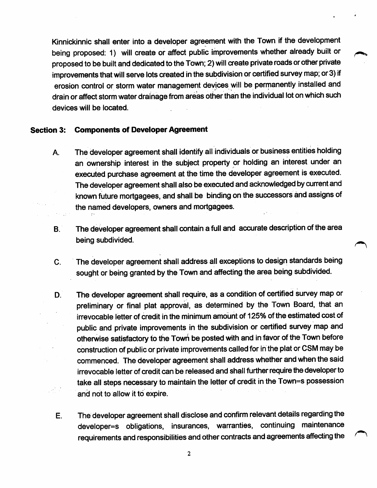Kinnickinnic shall enter into a developer agreement with the Town if the development being proposed: 1) will create or affect public improvements whether already built or proposed to be built and dedicated to the Town; 2) will create private roads or other private improvements that will serve lots created in the subdivision or certified survey map; or 3) if erosion control or storm water management devices will be permanently installed and drain or affect storm water drainage from areas other than the individual lot on which such devices will be located.

#### Section 3: Components of Developer Agreement

- A. The developer agreement shall identify all individuals or business entities holding an ownership interest in the subject property or holding an interest under an executed purchase agreement at the time the developer agreement is executed. The developer agreement shall also be executed and acknowledged by current and known future mortgagees, and shall be binding on the successors and assigns of the named developers, owners and mortgagees.
- B. The developer agreement shall contain a full and accurate description of the area being subdivided.
- C. The developer agreement shall address all exceptions to design standards being sought or being granted by the Town and affecting the area being subdivided.
- D. The developer agreement shall require, as a condition of certified survey map or preliminary or final plat approval, as determined by the Town Board, that an irrevocable letter of credit in the minimum amount of 125% of the estimated cost of public and private improvements in the subdivision or certified survey map and otherwise satisfactory to the Town be posted with and in favor of the Town before construction of public or private improvements called for in the plat or CSM may be commenced. The developer agreement shall address whether and when the said irrevocable letter of credit can be released and shall further require the developer to take all steps necessary to maintain the letter of credit in the Town=s possession and not to allow it to expire.
- E. The developer agreement shall disclose and confirm relevant details regarding the developer=s obligations, insurances, warranties, continuing maintenance requirements and responsibilities and other contracts and agreements affecting the

 $\overline{2}$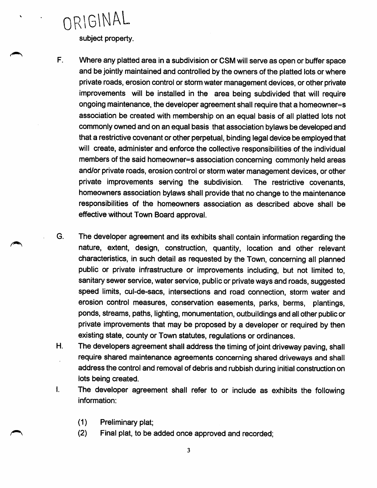ORIGINAL

subject property.

- F. Where any platted area in a subdivision or CSM will serve as open or buffer space and be jointly maintained and controlled by the owners of the platted lots or where private roads, erosion control or storm water management devices, or other private improvements will be installed in the area being subdivided that will require ongoing maintenance, the developer agreement shall require that a homeowner=s association be created with membership on an equal basis of all platted lots not commonly owned and on an equal basis that association bylaws be developed and that a restrictive covenant or other perpetual, binding legal device be employed that will create, administer and enforce the collective responsibilities of the individual members of the said homeowner=s association concerning commonly held areas and/or private roads, erosion control or storm water management devices, or other private improvements serving the subdivision. The restrictive covenants, homeowners association bylaws shall provide that no change to the maintenance responsibilities of the homeowners association as described above shall be effective without Town Board approval.
- G. The developer agreement and its exhibits shall contain information regarding the nature, extent, design, construction, quantity, location and other relevant characteristics, in such detail as requested by the Town, concerning all planned public or private infrastructure or improvements including, but not limited to, sanitary sewer service, water service, public or private ways and roads, suggested speed limits, cul-de-sacs, intersections and road connection, storm water and erosion control measures, conservation easements, parks, berms, plantings, ponds, streams, paths, lighting, monumentation, outbuildings and all other public or private improvements that may be proposed by a developer or required by then existing state, county or Town statutes, regulations or ordinances.
- H. The developers agreement shall address the timing of joint driveway paving, shall require shared maintenance agreements concerning shared driveways and shall address the control and removal of debris and rubbish during initial construction on lots being created.
- I. The developer agreement shall refer to or include as exhibits the following information:
	- (1) Preliminary plat;
	- (2) Final plat, to be added once approved and recorded;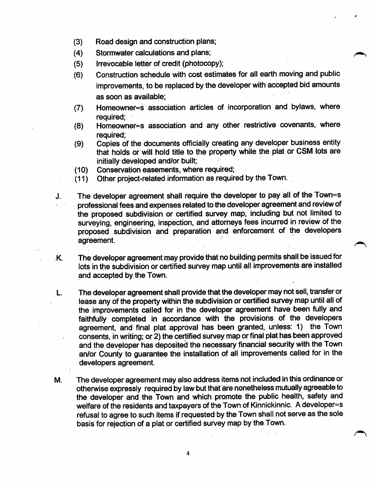- $(3)$  Road design and construction plans;
- (4) Stormwater calculations and plans;
- (5) Irrevocable letter of credit (photocopy);
- (6) Construction schedule with cost estimates for all earth moving and public improvements, to be replaced by the developer with accepted bid amounts as soon as available;
- (7) Homeowner=s association articles of incorporation and bylaws, where required;
- (8) Homeowner=s association and any other restrictive covenants, where required;
- (9) Copies of the documents officially creating any developer business entity that holds or will hold title to the property while the plat or CSM lots are initially developed and/or built;
- (10) Conservation easements, where required;

W

 $\mathbb{Z}^{\times}$ 

- (11) Other project-related information as required by the Town.
- J. The developer agreement shall require the developer to pay all of the Town=s professional fees and expenses related to the developer agreement and review of the proposed subdivision or certified survey map; including but not limited to surveying, engineering, inspection, and attorneys fees incurred in review of the proposed subdivision and preparation and enforcement of the developers agreement.

K. The developer agreement may provide that no building permits shall be issued for lots in the subdivision or certified survey map until all improvements are installed and accepted by the Town.

L. The developer agreement shalI provide that the developer may not sell, transfer or lease any of the property within the subdivision or certified survey map until all of the improvements called for in the developer agreement have been fully and faithfully completed in accordance with the provisions of the developers agreement, and final plat approval has been granted, unless: 1) the Town consents, in writing; or 2) the certified survey map or final plat has been approved and the developer has deposited the necessary financial security with the Town an/or County to guarantee the installation of all improvements called for in the developers agreement.

M. The developer agreement may also address items not included in this ordinance or otherwise expressly required by law but that are nonetheless mutually agreeable to the developer and the Town and which promote the public health, safety and welfare of the residents and taxpayers of the Town of Kinnickinnic. A developer=s refusal to agree to such items if requested by the Town shall not serve as the sole basis for rejection of a plat or certified survey map by the Town.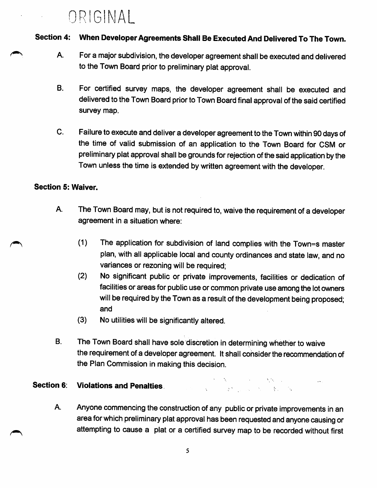## ORIGINAL

#### Section 4: When Developer Agreements Shall Be Executed And Delivered To The Town.

- A. For a major subdivision, the developer agreement shall be executed and delivered to the Town Board prior to preliminary plat approval.
- B. For certified survey maps, the developer agreement shall be executed and delivered to the Town Board prior to Town Board final approval of the said certified survey map.
- C. Failure to execute and deliver a developer agreement to the Town within 90 days of the time of valid submission of an application to the Town Board for CSM or preliminary plat approval shall be grounds for rejection of the said application by the Town unless the time is extended by written agreement with the developer.

#### Section 5: Waiver.

- A. The Town Board may, but is not required to, waive the requirement of a developer agreement in a situation where:
	- (1) The application for subdivision of land complies with the Town=s master plan, with all applicable local and county ordinances and state law, and no variances or rezoning will be required;
	- (2) No significant public or private improvements, facilities or dedication of facilities or areas for public use or common private use among the lot owners will be required by the Town as a result of the development being proposed; and
	- (3) No utilities will be significantly altered.
- B. The Town Board shall have sole discretion in deterrnining whether to waive the requirement of a developer agreement. It shall consider the recommendation of the Plan Commission in making this decision.

#### $\label{eq:1} \mathcal{L}_{\mathcal{A}}(\mathcal{A})=\mathcal{L}_{\mathcal{A}}(\mathcal{A})\otimes\mathcal{L}_{\mathcal{A}}(\mathcal{A})\otimes\mathcal{L}_{\mathcal{A}}(\mathcal{A})$ Section 6: Violations and Penalties.  $\sqrt{1-\left(1-\frac{1}{2}\right)^2+\left(1-\left(1+\frac{1}{2}\right)\right)^2} \leq \left(1-\frac{1}{2}\right)^2 + \left(1-\frac{1}{2}\right)^2 + \left(1-\frac{1}{2}\right)^2.$

A. Anyone commencing the construction of any public or private improvements in an area for which preliminary plat approval has been requested and anyone causing or attempting to cause a plat or a certified survey map to be recorded without first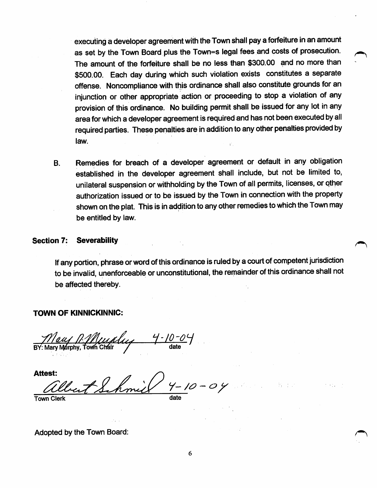executing a developer agreement with the Town shall pay a forfeiture in an amount as set by the Town Board plus the Town=s legal fees and costs of prosecution. The amount of the forfeiture shall be no less than \$300.00 and no more than \$500.00. Each day during which such violation exists constitutes a separate offense. Noncompliance with this ordinance shall also constitute grounds for an injunction or other appropriate action or proceeding to stop a violation of any provision of this ordinance. No building permit shall be issued for any lot in any area for which a developer agreement is required and has not been executed by all required parties. These penalties are in addition to any other penalties provided by law.

B. Remedies for breach of a developer agreement or default in any obligation established in the developer agreement shall include, but not be limited to, unilateral suspension or withholding by the Town of all permits, licenses, or qther authorization issued or to be issued by the Town in connection with the property shown on the plat. This is in addition to any other remedies to which the Town may be entitled by law.

# Section 7: Severability **Section** 7: Severability

If any portion, phrase or word of this ordinance is ruled by a court of competent jurisdiction to be invalid, unenforceable or unconstitutional, the rernainder of this ordinance shall not be affected thereby.

#### TOWN OF KINNICKINNIC:

BY: Mary Murphy, Town Chair

Attest:  $4 - 10 - 04$ Town Clerk and the contract of the contract of the date

Adopted by the Town Board: